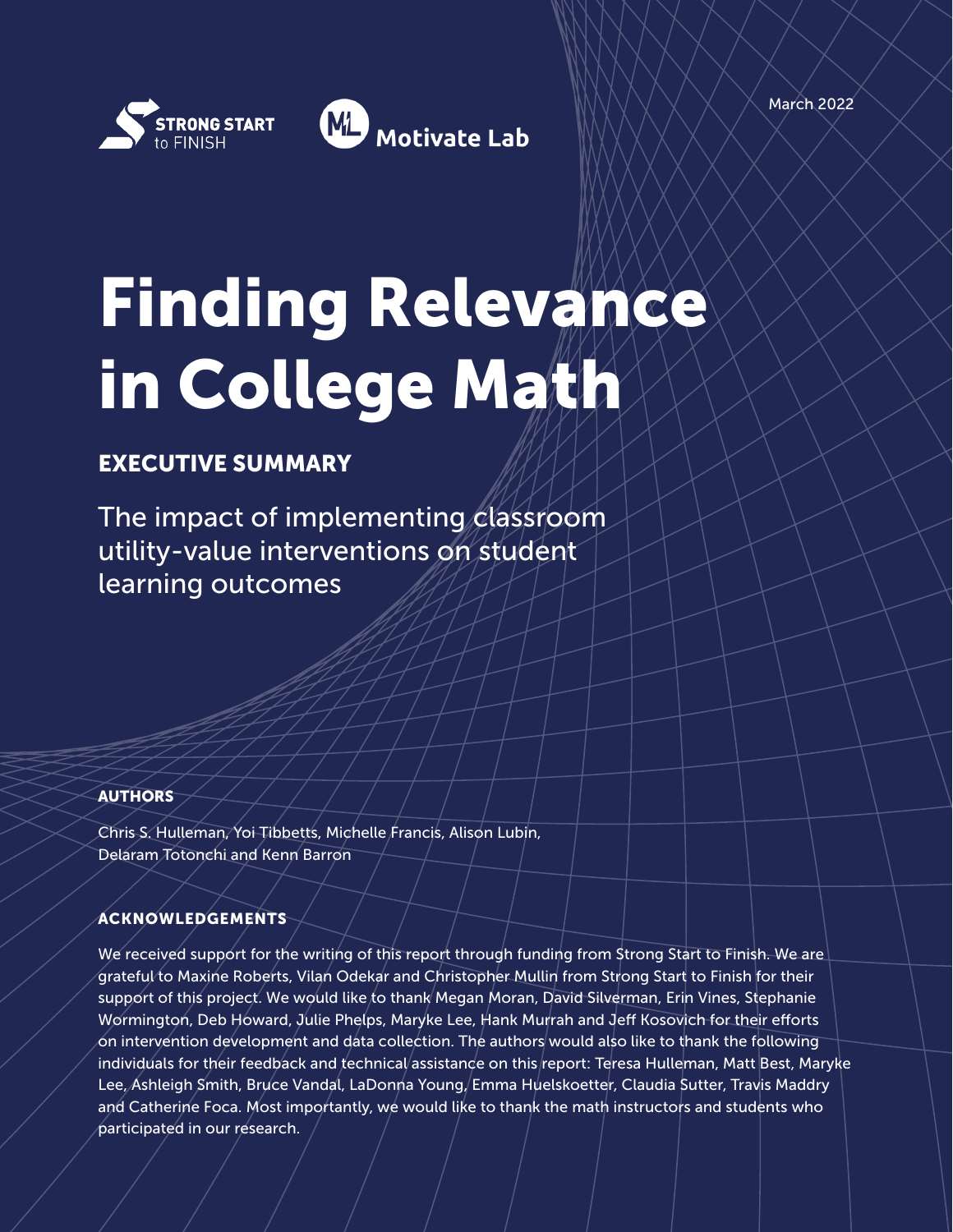

# Finding Relevance in College Math

# EXECUTIVE SUMMARY

The impact of implementing classroom utility-value interventions on student learning outcomes

#### AUTHORS

Chris S. Hulleman, Yoi Tibbetts, Michelle Francis, Alison Lubin, Delaram Totonchi and Kenn Barron

#### ACKNOWLEDGEMENTS

We received support for the writing of this report through funding from Strong Start to Finish. We are grateful to Maxine Roberts, Vilan Odekar and Christopher Mullin from Strong Start to Finish for their support of this project. We would like to thank Megan Moran, David Silverman, Erin Vines, Stephanie Wormington, Deb Howard, Julie Phelps, Maryke Lee, Hank Murrah and Jeff Kosovich for their efforts on intervention development and data collection. The authors would also like to thank the following individuals for their feedback and technical assistance on this report: Teresa Hulleman, Matt Best, Maryke Lee, Ashleigh Smith, Bruce Vandal, LaDonna Young, Emma Huelskoetter, Claudia Sutter, Travis Maddry and Catherine Foca. Most importantly, we would like to thank the math instructors and students who participated in our research.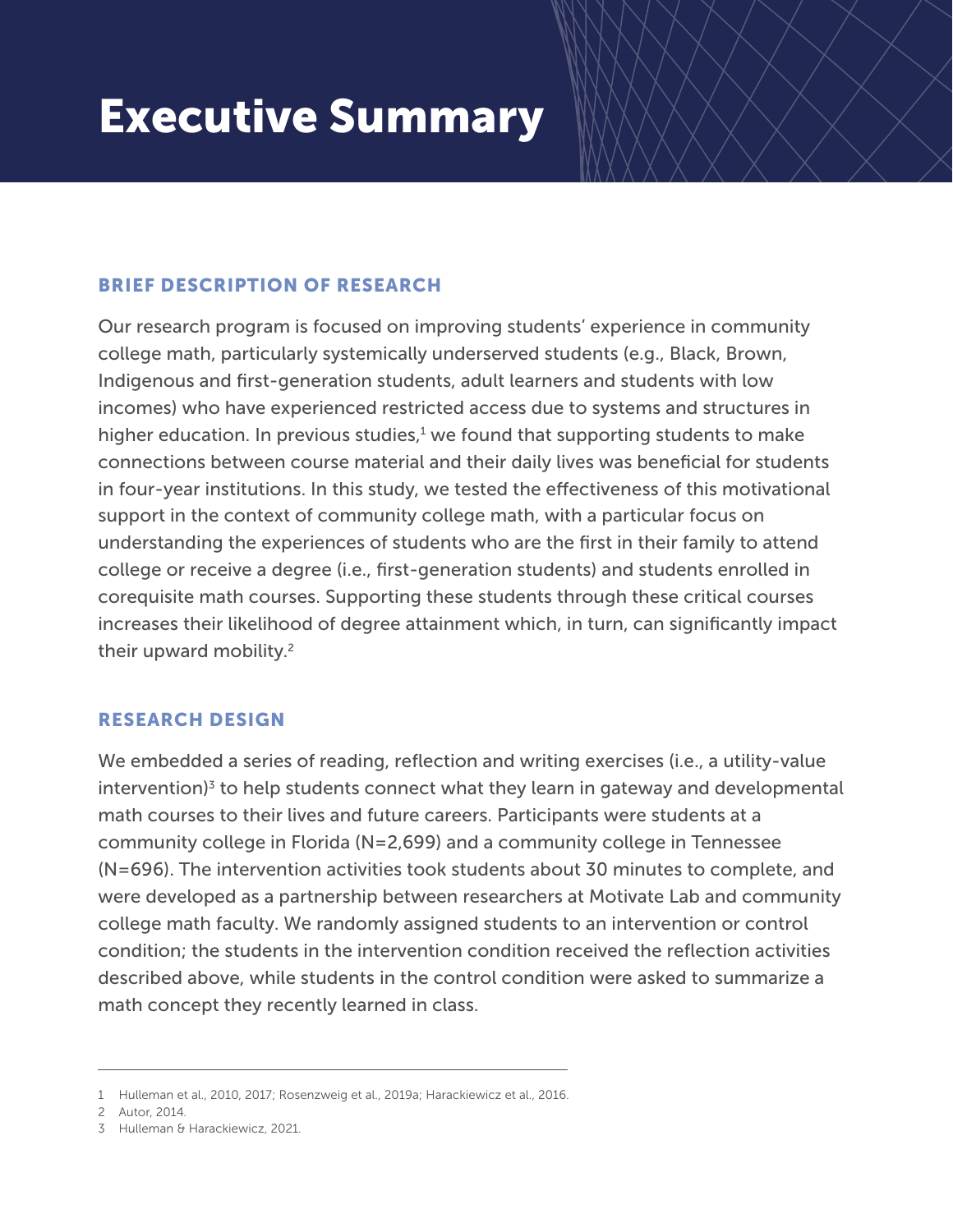# Executive Summary

# BRIEF DESCRIPTION OF RESEARCH

Our research program is focused on improving students' experience in community college math, particularly systemically underserved students (e.g., Black, Brown, Indigenous and first-generation students, adult learners and students with low incomes) who have experienced restricted access due to systems and structures in higher education. In previous studies, $1$  we found that supporting students to make connections between course material and their daily lives was beneficial for students in four-year institutions. In this study, we tested the effectiveness of this motivational support in the context of community college math, with a particular focus on understanding the experiences of students who are the first in their family to attend college or receive a degree (i.e., first-generation students) and students enrolled in corequisite math courses. Supporting these students through these critical courses increases their likelihood of degree attainment which, in turn, can significantly impact their upward mobility.<sup>2</sup>

# RESEARCH DESIGN

We embedded a series of reading, reflection and writing exercises (i.e., a utility-value intervention)<sup>3</sup> to help students connect what they learn in gateway and developmental math courses to their lives and future careers. Participants were students at a community college in Florida (N=2,699) and a community college in Tennessee (N=696). The intervention activities took students about 30 minutes to complete, and were developed as a partnership between researchers at Motivate Lab and community college math faculty. We randomly assigned students to an intervention or control condition; the students in the intervention condition received the reflection activities described above, while students in the control condition were asked to summarize a math concept they recently learned in class.

<sup>1</sup> Hulleman et al., 2010, 2017; Rosenzweig et al., 2019a; Harackiewicz et al., 2016.

Autor, 2014. 2

<sup>3</sup> Hulleman & Harackiewicz, 2021.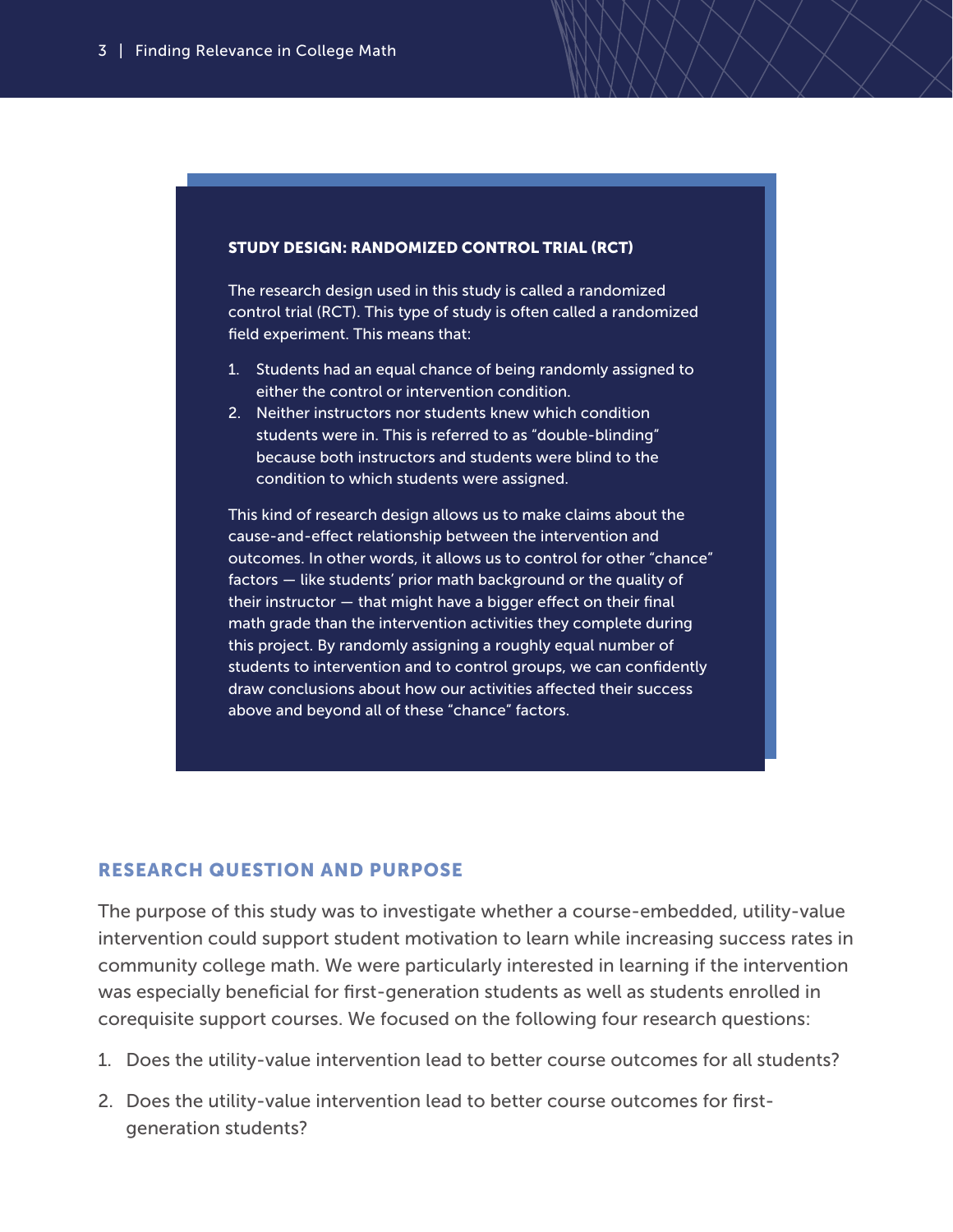#### STUDY DESIGN: RANDOMIZED CONTROL TRIAL (RCT)

The research design used in this study is called a randomized control trial (RCT). This type of study is often called a randomized field experiment. This means that:

- 1. Students had an equal chance of being randomly assigned to either the control or intervention condition.
- 2. Neither instructors nor students knew which condition students were in. This is referred to as "double-blinding" because both instructors and students were blind to the condition to which students were assigned.

This kind of research design allows us to make claims about the cause-and-effect relationship between the intervention and outcomes. In other words, it allows us to control for other "chance" factors — like students' prior math background or the quality of their instructor — that might have a bigger effect on their final math grade than the intervention activities they complete during this project. By randomly assigning a roughly equal number of students to intervention and to control groups, we can confidently draw conclusions about how our activities affected their success above and beyond all of these "chance" factors.

#### RESEARCH QUESTION AND PURPOSE

The purpose of this study was to investigate whether a course-embedded, utility-value intervention could support student motivation to learn while increasing success rates in community college math. We were particularly interested in learning if the intervention was especially beneficial for first-generation students as well as students enrolled in corequisite support courses. We focused on the following four research questions:

- 1. Does the utility-value intervention lead to better course outcomes for all students?
- 2. Does the utility-value intervention lead to better course outcomes for firstgeneration students?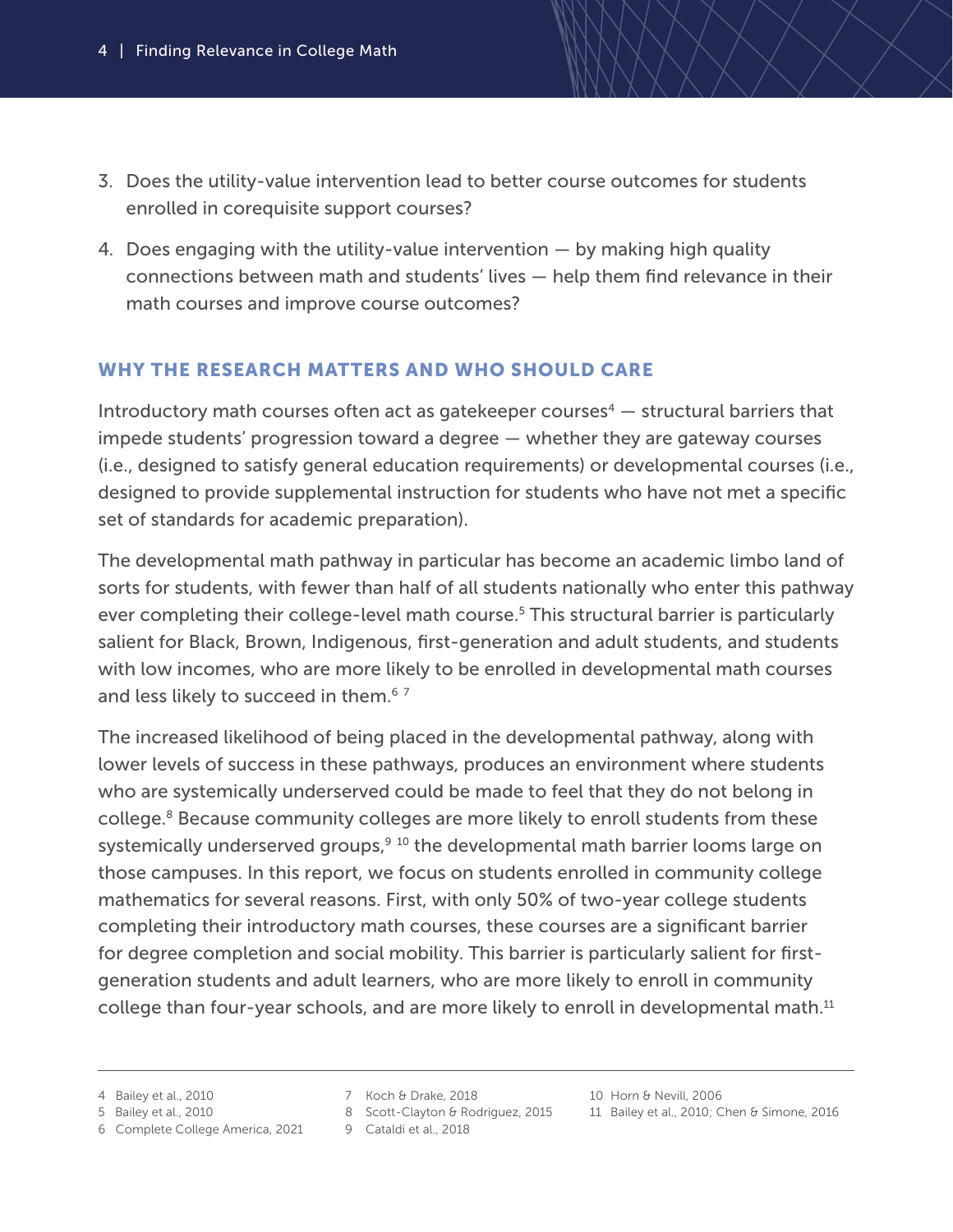- 3. Does the utility-value intervention lead to better course outcomes for students enrolled in corequisite support courses?
- 4. Does engaging with the utility-value intervention by making high quality connections between math and students' lives — help them find relevance in their math courses and improve course outcomes?

# WHY THE RESEARCH MATTERS AND WHO SHOULD CARE

Introductory math courses often act as gatekeeper courses<sup>4</sup>  $-$  structural barriers that impede students' progression toward a degree — whether they are gateway courses (i.e., designed to satisfy general education requirements) or developmental courses (i.e., designed to provide supplemental instruction for students who have not met a specific set of standards for academic preparation).

The developmental math pathway in particular has become an academic limbo land of sorts for students, with fewer than half of all students nationally who enter this pathway ever completing their college-level math course.<sup>5</sup> This structural barrier is particularly salient for Black, Brown, Indigenous, first-generation and adult students, and students with low incomes, who are more likely to be enrolled in developmental math courses and less likely to succeed in them.<sup>67</sup>

The increased likelihood of being placed in the developmental pathway, along with lower levels of success in these pathways, produces an environment where students who are systemically underserved could be made to feel that they do not belong in college.8 Because community colleges are more likely to enroll students from these systemically underserved groups, $910$  the developmental math barrier looms large on those campuses. In this report, we focus on students enrolled in community college mathematics for several reasons. First, with only 50% of two-year college students completing their introductory math courses, these courses are a significant barrier for degree completion and social mobility. This barrier is particularly salient for firstgeneration students and adult learners, who are more likely to enroll in community college than four-year schools, and are more likely to enroll in developmental math.<sup>11</sup>

<sup>4</sup> Bailey et al., 2010

<sup>5</sup> Bailey et al., 2010

<sup>6</sup> Complete College America, 2021

<sup>7</sup> Koch & Drake, 2018

<sup>8</sup> Scott-Clayton & Rodriguez, 2015

Cataldi et al., 2018 9

<sup>10</sup> Horn & Nevill, 2006

<sup>11</sup> Bailey et al., 2010; Chen & Simone, 2016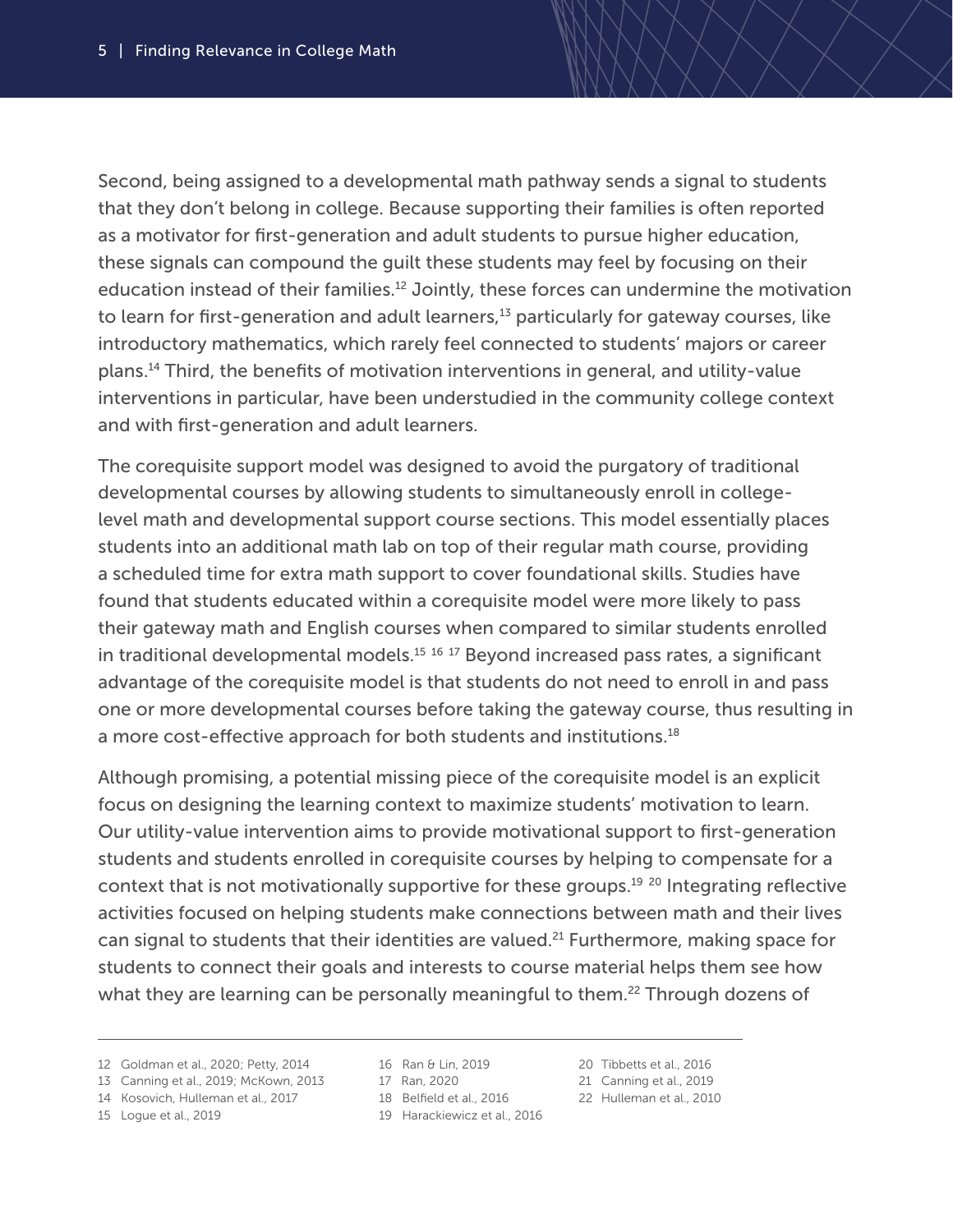Second, being assigned to a developmental math pathway sends a signal to students that they don't belong in college. Because supporting their families is often reported as a motivator for first-generation and adult students to pursue higher education, these signals can compound the guilt these students may feel by focusing on their education instead of their families.<sup>12</sup> Jointly, these forces can undermine the motivation to learn for first-generation and adult learners, $13$  particularly for gateway courses, like introductory mathematics, which rarely feel connected to students' majors or career plans.14 Third, the benefits of motivation interventions in general, and utility-value interventions in particular, have been understudied in the community college context and with first-generation and adult learners.

The corequisite support model was designed to avoid the purgatory of traditional developmental courses by allowing students to simultaneously enroll in collegelevel math and developmental support course sections. This model essentially places students into an additional math lab on top of their regular math course, providing a scheduled time for extra math support to cover foundational skills. Studies have found that students educated within a corequisite model were more likely to pass their gateway math and English courses when compared to similar students enrolled in traditional developmental models.<sup>15 16</sup> <sup>17</sup> Beyond increased pass rates, a significant advantage of the corequisite model is that students do not need to enroll in and pass one or more developmental courses before taking the gateway course, thus resulting in a more cost-effective approach for both students and institutions.<sup>18</sup>

Although promising, a potential missing piece of the corequisite model is an explicit focus on designing the learning context to maximize students' motivation to learn. Our utility-value intervention aims to provide motivational support to first-generation students and students enrolled in corequisite courses by helping to compensate for a context that is not motivationally supportive for these groups.19 20 Integrating reflective activities focused on helping students make connections between math and their lives can signal to students that their identities are valued.<sup>21</sup> Furthermore, making space for students to connect their goals and interests to course material helps them see how what they are learning can be personally meaningful to them.<sup>22</sup> Through dozens of

- 13 Canning et al., 2019; McKown, 2013
- 14 Kosovich, Hulleman et al., 2017

```
15 Logue et al., 2019
```
- 16 Ran & Lin, 2019
- 17 Ran, 2020
- 18 Belfield et al., 2016
- 19 Harackiewicz et al., 2016
- 20 Tibbetts et al., 2016
- Canning et al., 2019 21
- 22 Hulleman et al., 2010

<sup>12</sup> Goldman et al., 2020; Petty, 2014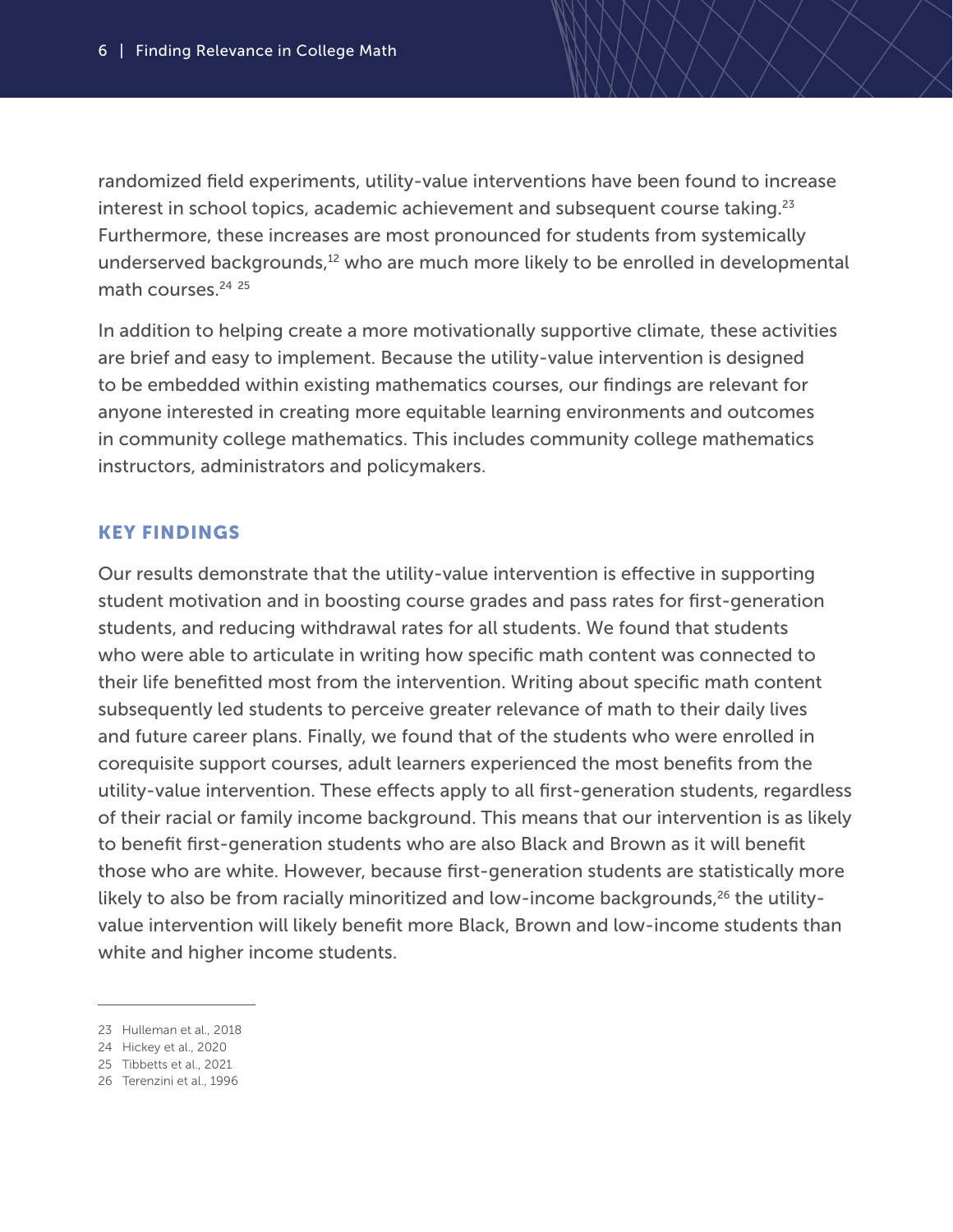randomized field experiments, utility-value interventions have been found to increase interest in school topics, academic achievement and subsequent course taking. $23$ Furthermore, these increases are most pronounced for students from systemically underserved backgrounds,<sup>12</sup> who are much more likely to be enrolled in developmental math courses.<sup>24</sup> <sup>25</sup>

In addition to helping create a more motivationally supportive climate, these activities are brief and easy to implement. Because the utility-value intervention is designed to be embedded within existing mathematics courses, our findings are relevant for anyone interested in creating more equitable learning environments and outcomes in community college mathematics. This includes community college mathematics instructors, administrators and policymakers.

### KEY FINDINGS

Our results demonstrate that the utility-value intervention is effective in supporting student motivation and in boosting course grades and pass rates for first-generation students, and reducing withdrawal rates for all students. We found that students who were able to articulate in writing how specific math content was connected to their life benefitted most from the intervention. Writing about specific math content subsequently led students to perceive greater relevance of math to their daily lives and future career plans. Finally, we found that of the students who were enrolled in corequisite support courses, adult learners experienced the most benefits from the utility-value intervention. These effects apply to all first-generation students, regardless of their racial or family income background. This means that our intervention is as likely to benefit first-generation students who are also Black and Brown as it will benefit those who are white. However, because first-generation students are statistically more likely to also be from racially minoritized and low-income backgrounds,<sup>26</sup> the utilityvalue intervention will likely benefit more Black, Brown and low-income students than white and higher income students.

<sup>23</sup> Hulleman et al., 2018

<sup>24</sup> Hickey et al., 2020

<sup>25</sup> Tibbetts et al., 2021

<sup>26</sup> Terenzini et al., 1996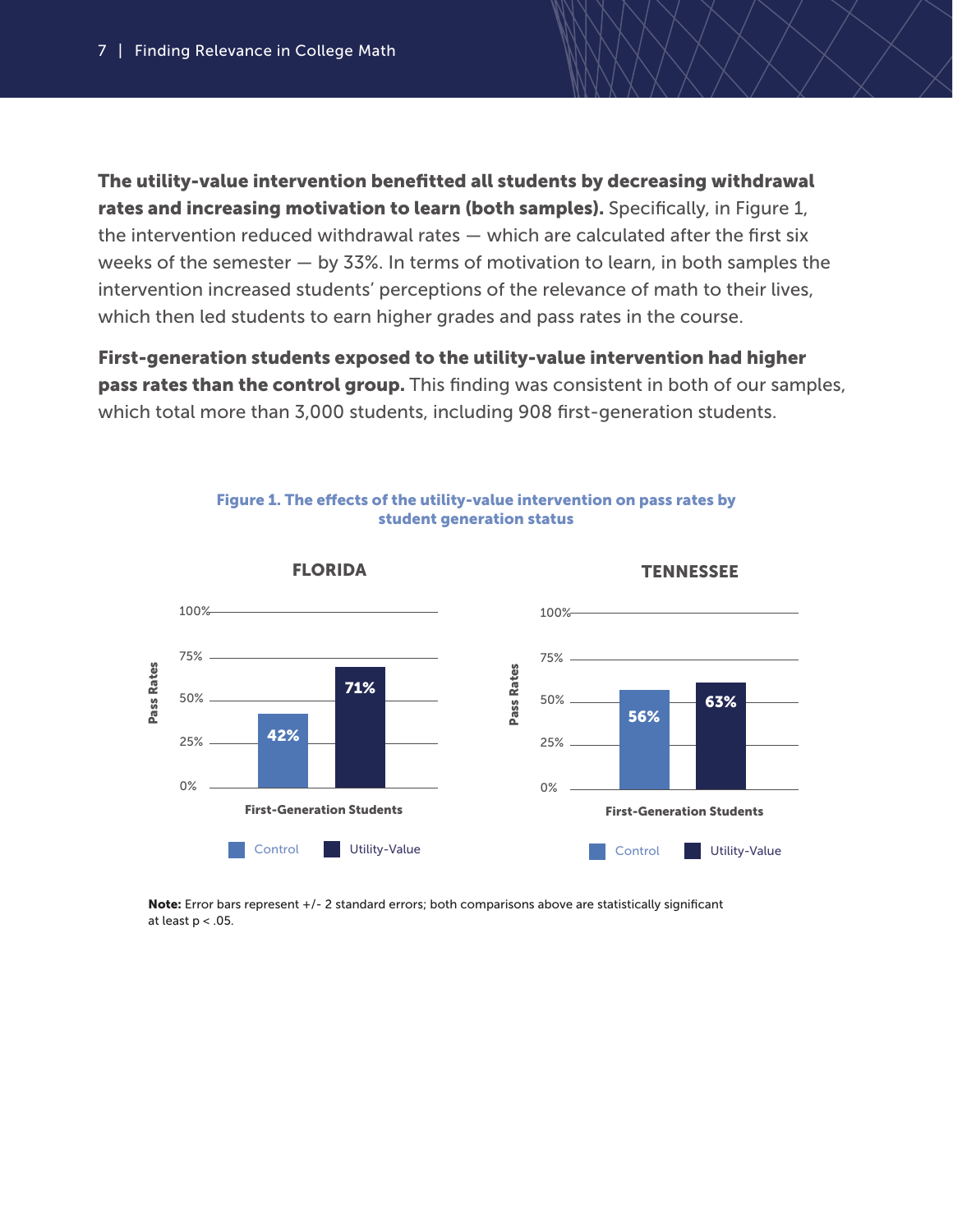The utility-value intervention benefitted all students by decreasing withdrawal rates and increasing motivation to learn (both samples). Specifically, in Figure 1, the intervention reduced withdrawal rates — which are calculated after the first six weeks of the semester — by 33%. In terms of motivation to learn, in both samples the intervention increased students' perceptions of the relevance of math to their lives, which then led students to earn higher grades and pass rates in the course.

First-generation students exposed to the utility-value intervention had higher pass rates than the control group. This finding was consistent in both of our samples, which total more than 3,000 students, including 908 first-generation students.



Figure 1. The effects of the utility-value intervention on pass rates by student generation status

Note: Error bars represent +/- 2 standard errors; both comparisons above are statistically significant at least  $p < .05$ .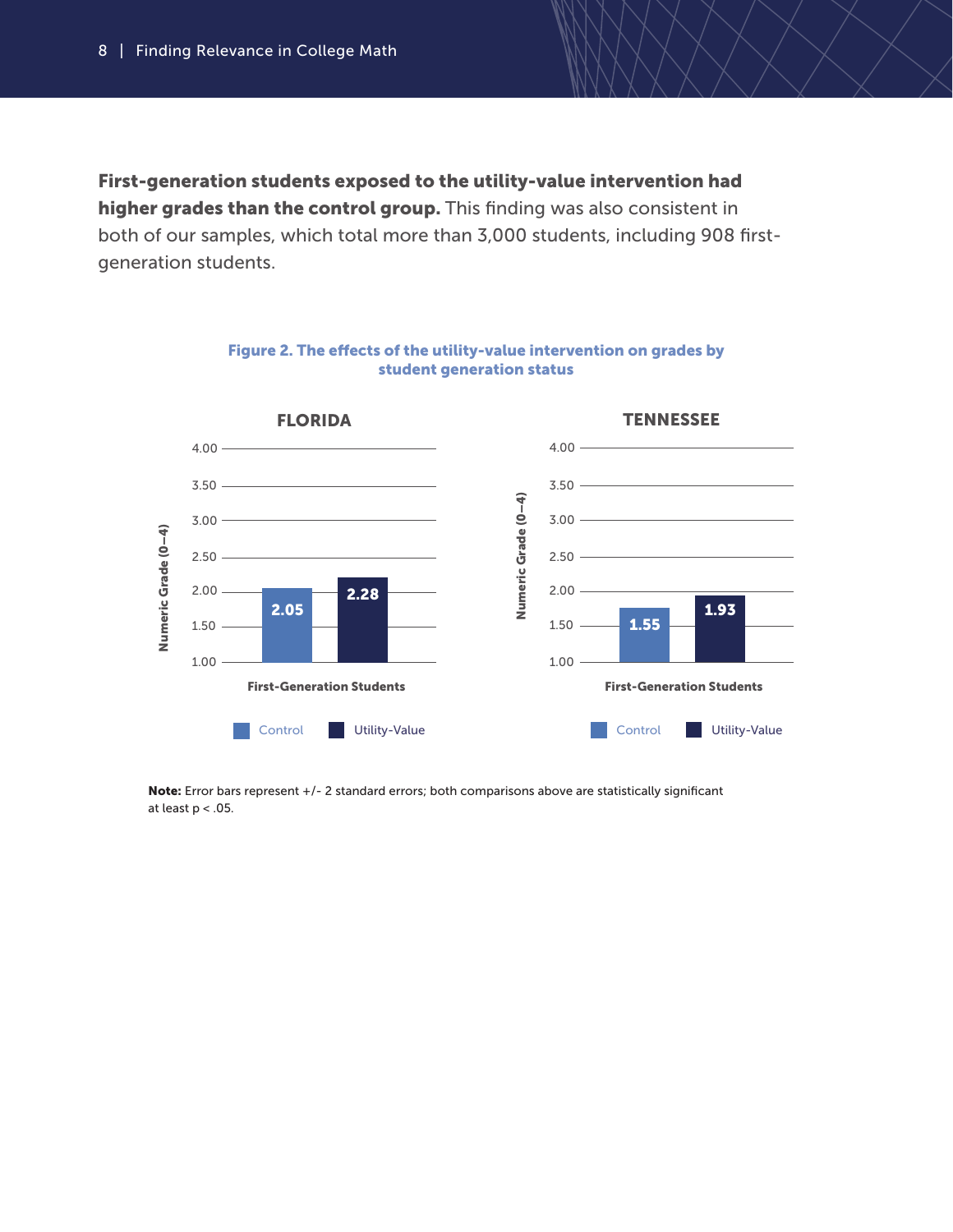First-generation students exposed to the utility-value intervention had higher grades than the control group. This finding was also consistent in both of our samples, which total more than 3,000 students, including 908 firstgeneration students.



Figure 2. The effects of the utility-value intervention on grades by student generation status

Note: Error bars represent +/- 2 standard errors; both comparisons above are statistically significant at least  $p < .05$ .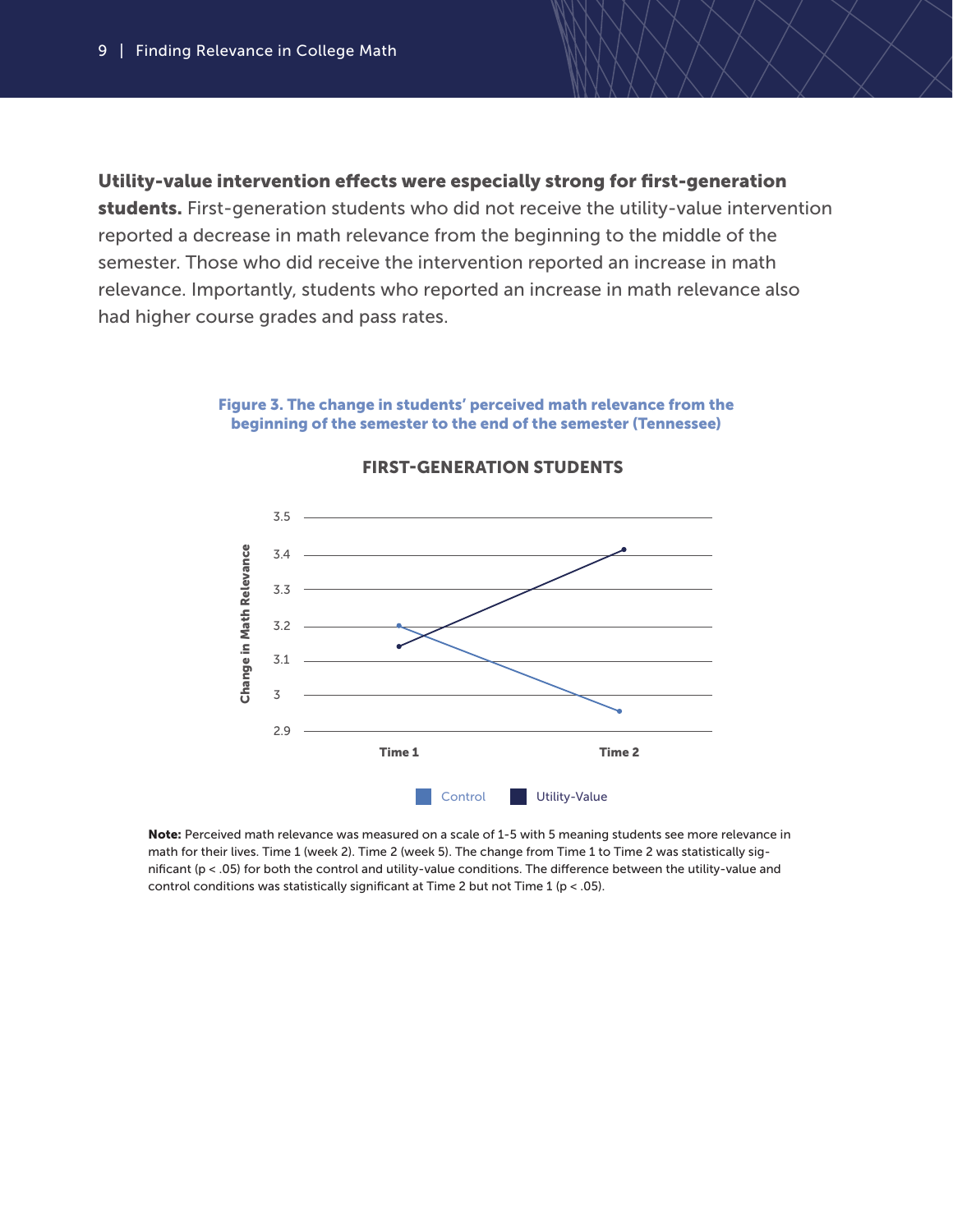#### Utility-value intervention effects were especially strong for first-generation

students. First-generation students who did not receive the utility-value intervention reported a decrease in math relevance from the beginning to the middle of the semester. Those who did receive the intervention reported an increase in math relevance. Importantly, students who reported an increase in math relevance also had higher course grades and pass rates.

#### Figure 3. The change in students' perceived math relevance from the beginning of the semester to the end of the semester (Tennessee)



#### FIRST-GENERATION STUDENTS

Note: Perceived math relevance was measured on a scale of 1-5 with 5 meaning students see more relevance in math for their lives. Time 1 (week 2). Time 2 (week 5). The change from Time 1 to Time 2 was statistically significant (p < .05) for both the control and utility-value conditions. The difference between the utility-value and control conditions was statistically significant at Time 2 but not Time 1 ( $p < .05$ ).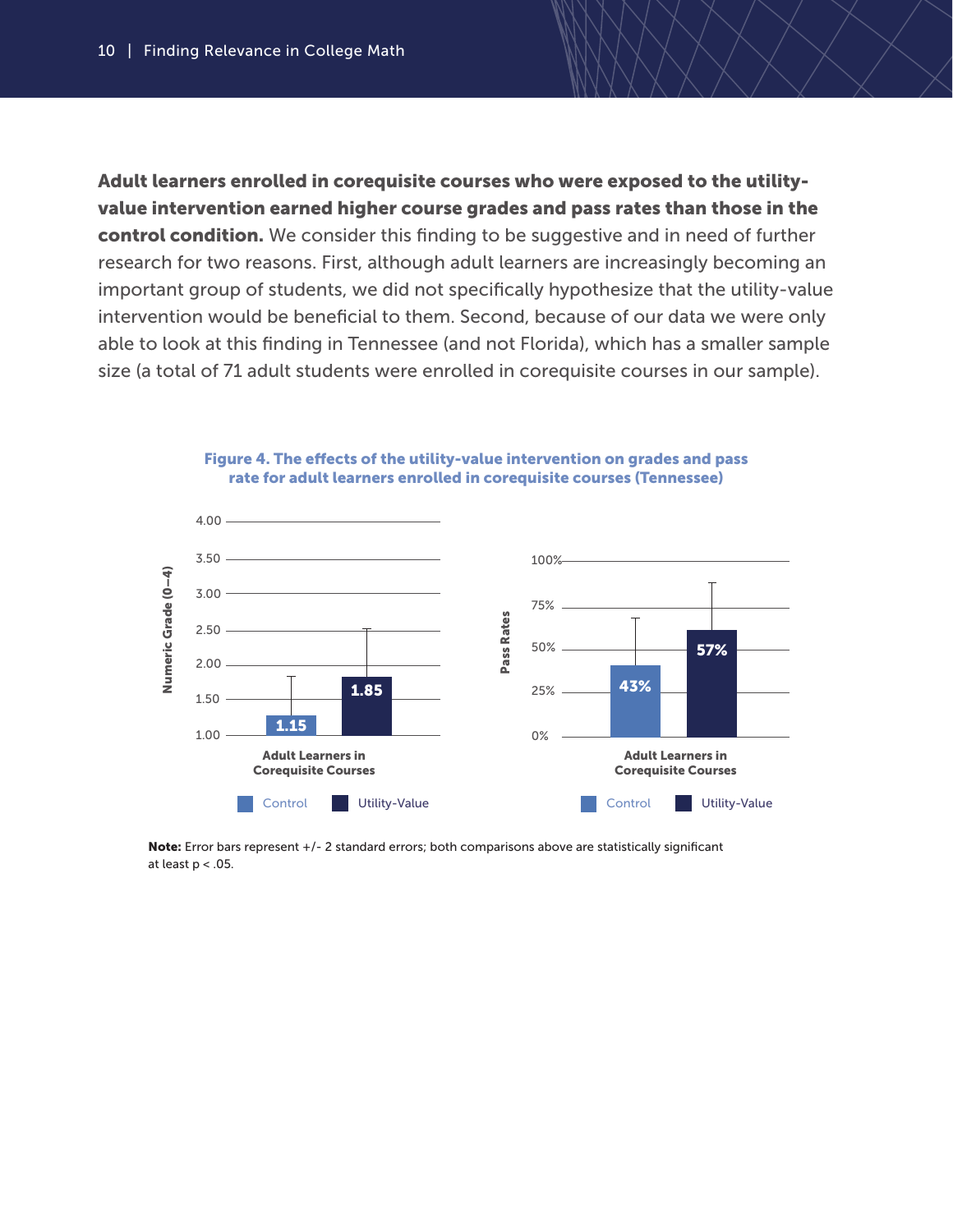Adult learners enrolled in corequisite courses who were exposed to the utilityvalue intervention earned higher course grades and pass rates than those in the control condition. We consider this finding to be suggestive and in need of further research for two reasons. First, although adult learners are increasingly becoming an important group of students, we did not specifically hypothesize that the utility-value intervention would be beneficial to them. Second, because of our data we were only able to look at this finding in Tennessee (and not Florida), which has a smaller sample size (a total of 71 adult students were enrolled in corequisite courses in our sample).



#### Figure 4. The effects of the utility-value intervention on grades and pass rate for adult learners enrolled in corequisite courses (Tennessee)

Note: Error bars represent +/- 2 standard errors; both comparisons above are statistically significant at least p < .05.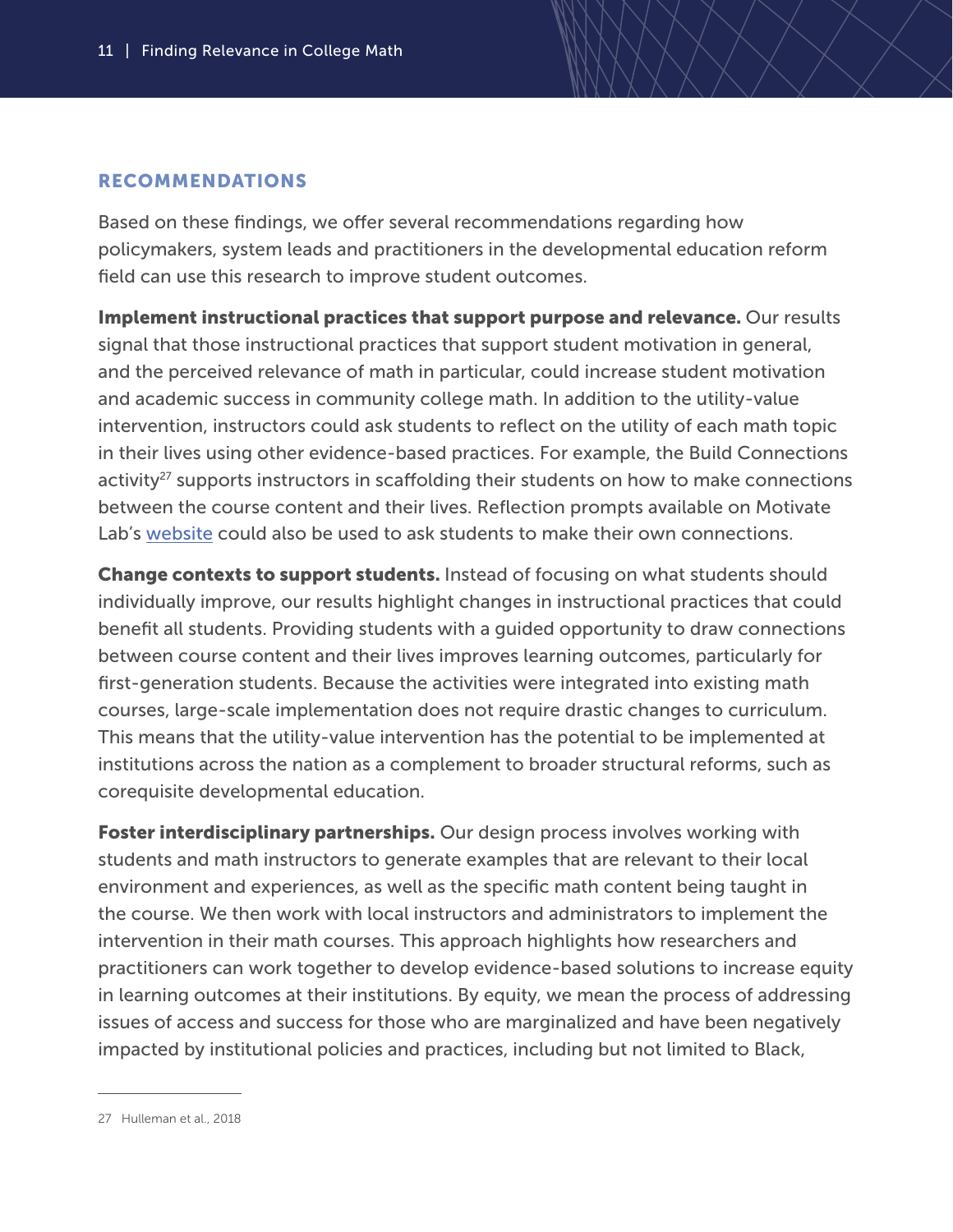### RECOMMENDATIONS

Based on these findings, we offer several recommendations regarding how policymakers, system leads and practitioners in the developmental education reform field can use this research to improve student outcomes.

Implement instructional practices that support purpose and relevance. Our results signal that those instructional practices that support student motivation in general, and the perceived relevance of math in particular, could increase student motivation and academic success in community college math. In addition to the utility-value intervention, instructors could ask students to reflect on the utility of each math topic in their lives using other evidence-based practices. For example, the Build Connections activity<sup>27</sup> supports instructors in scaffolding their students on how to make connections between the course content and their lives. Reflection prompts available on Motivate Lab's [website](https://motivatelab.org/supporting-purpose-and-relevance) could also be used to ask students to make their own connections.

Change contexts to support students. Instead of focusing on what students should individually improve, our results highlight changes in instructional practices that could benefit all students. Providing students with a guided opportunity to draw connections between course content and their lives improves learning outcomes, particularly for first-generation students. Because the activities were integrated into existing math courses, large-scale implementation does not require drastic changes to curriculum. This means that the utility-value intervention has the potential to be implemented at institutions across the nation as a complement to broader structural reforms, such as corequisite developmental education.

Foster interdisciplinary partnerships. Our design process involves working with students and math instructors to generate examples that are relevant to their local environment and experiences, as well as the specific math content being taught in the course. We then work with local instructors and administrators to implement the intervention in their math courses. This approach highlights how researchers and practitioners can work together to develop evidence-based solutions to increase equity in learning outcomes at their institutions. By equity, we mean the process of addressing issues of access and success for those who are marginalized and have been negatively impacted by institutional policies and practices, including but not limited to Black,

<sup>27</sup> Hulleman et al., 2018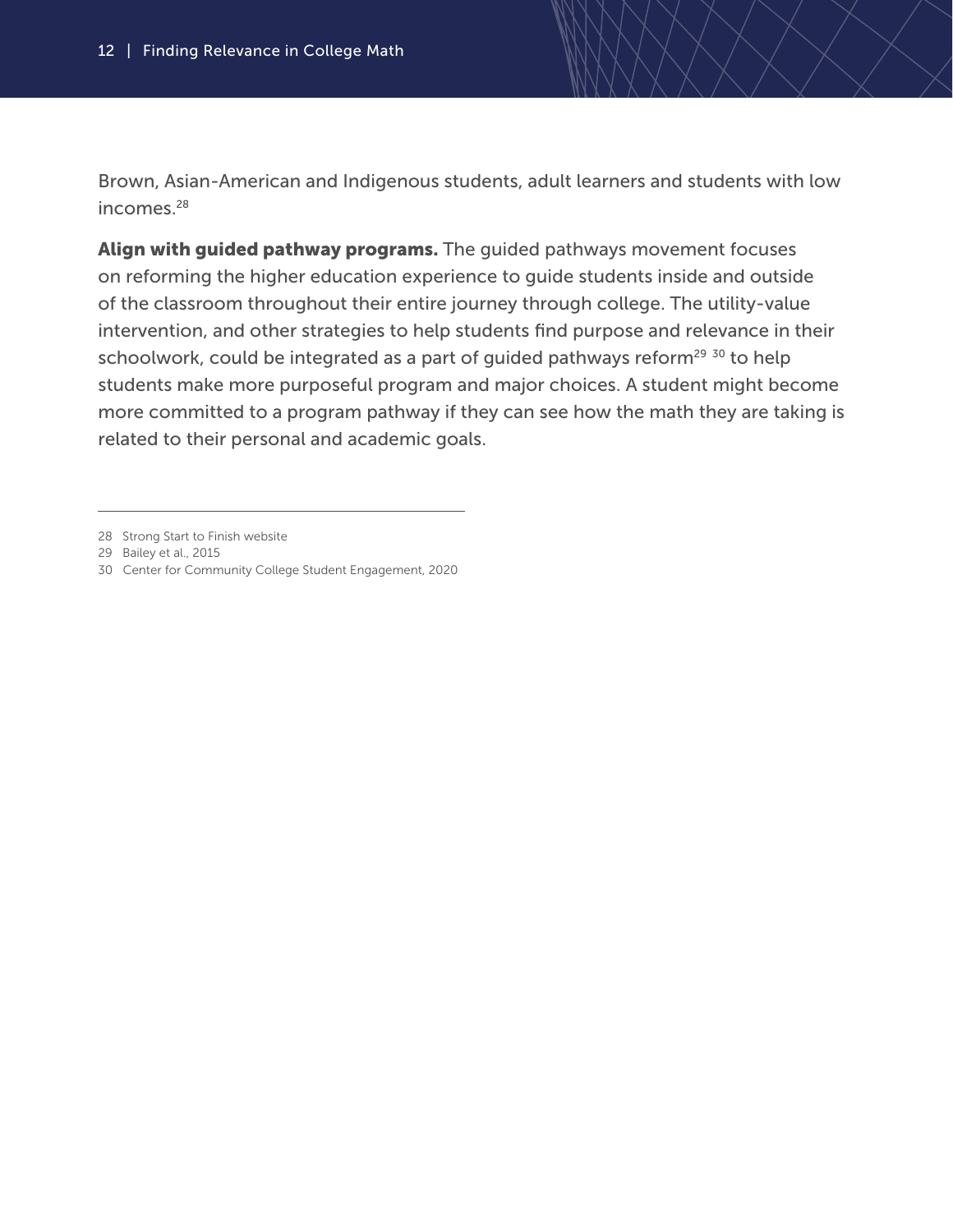Brown, Asian-American and Indigenous students, adult learners and students with low incomes.<sup>28</sup>

Align with guided pathway programs. The guided pathways movement focuses on reforming the higher education experience to guide students inside and outside of the classroom throughout their entire journey through college. The utility-value intervention, and other strategies to help students find purpose and relevance in their schoolwork, could be integrated as a part of guided pathways reform<sup>29 30</sup> to help students make more purposeful program and major choices. A student might become more committed to a program pathway if they can see how the math they are taking is related to their personal and academic goals.

<sup>28</sup> Strong Start to Finish website

<sup>29</sup> Bailey et al., 2015

<sup>30</sup> Center for Community College Student Engagement, 2020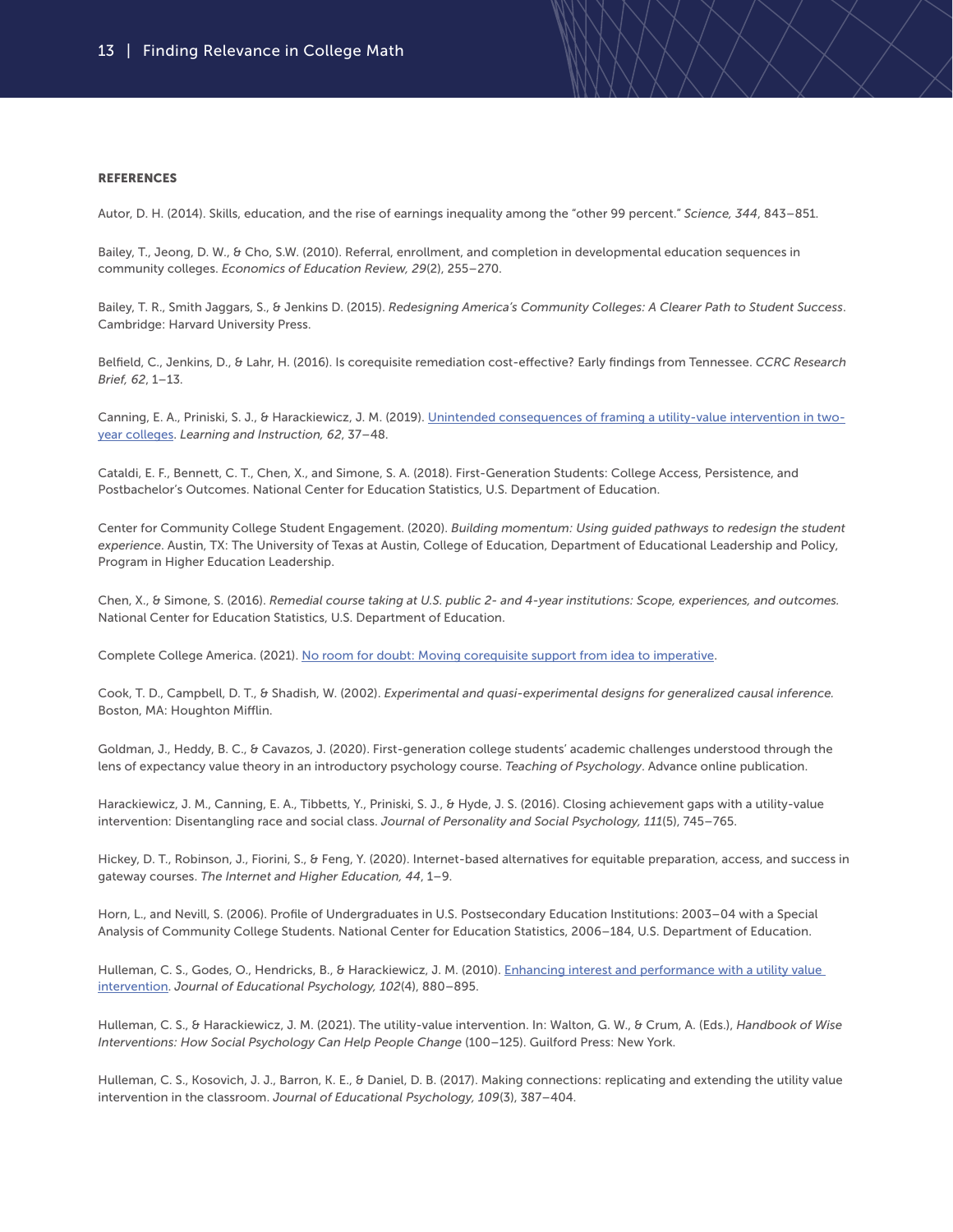#### **REFERENCES**

Autor, D. H. (2014). Skills, education, and the rise of earnings inequality among the "other 99 percent." *Science, 344*, 843–851.

Bailey, T., Jeong, D. W., & Cho, S.W. (2010). Referral, enrollment, and completion in developmental education sequences in community colleges. *Economics of Education Review, 29*(2), 255–270.

Bailey, T. R., Smith Jaggars, S., & Jenkins D. (2015). *Redesigning America's Community Colleges: A Clearer Path to Student Success*. Cambridge: Harvard University Press.

Belfield, C., Jenkins, D., & Lahr, H. (2016). Is corequisite remediation cost-effective? Early findings from Tennessee. *CCRC Research Brief, 62*, 1–13.

Canning, E. A., Priniski, S. J., & Harackiewicz, J. M. (2019). [Unintended consequences of framing a utility-value intervention in two](https://doi.org/10.1016/j.learninstruc.2019.05.001)[year colleges.](https://doi.org/10.1016/j.learninstruc.2019.05.001) *Learning and Instruction, 62*, 37–48.

Cataldi, E. F., Bennett, C. T., Chen, X., and Simone, S. A. (2018). First-Generation Students: College Access, Persistence, and Postbachelor's Outcomes. National Center for Education Statistics, U.S. Department of Education.

Center for Community College Student Engagement. (2020). *Building momentum: Using guided pathways to redesign the student experience*. Austin, TX: The University of Texas at Austin, College of Education, Department of Educational Leadership and Policy, Program in Higher Education Leadership.

Chen, X., & Simone, S. (2016). *Remedial course taking at U.S. public 2- and 4-year institutions: Scope, experiences, and outcomes.*  National Center for Education Statistics, U.S. Department of Education.

Complete College America. (2021). [No room for doubt: Moving corequisite support from idea to imperative.](https://strongstart.org/resource/no-room-for-doubt-moving-corequisite-support-from-idea-to-imperativ)

Cook, T. D., Campbell, D. T., & Shadish, W. (2002). *Experimental and quasi-experimental designs for generalized causal inference.*  Boston, MA: Houghton Mifflin.

Goldman, J., Heddy, B. C., & Cavazos, J. (2020). First-generation college students' academic challenges understood through the lens of expectancy value theory in an introductory psychology course. *Teaching of Psychology*. Advance online publication.

Harackiewicz, J. M., Canning, E. A., Tibbetts, Y., Priniski, S. J., & Hyde, J. S. (2016). Closing achievement gaps with a utility-value intervention: Disentangling race and social class. *Journal of Personality and Social Psychology, 111*(5), 745–765.

Hickey, D. T., Robinson, J., Fiorini, S., & Feng, Y. (2020). Internet-based alternatives for equitable preparation, access, and success in gateway courses. *The Internet and Higher Education, 44*, 1–9.

Horn, L., and Nevill, S. (2006). Profile of Undergraduates in U.S. Postsecondary Education Institutions: 2003–04 with a Special Analysis of Community College Students. National Center for Education Statistics, 2006–184, U.S. Department of Education.

Hulleman, C. S., Godes, O., Hendricks, B., & Harackiewicz, J. M. (2010). Enhancing interest and performance with a utility value [intervention](https://psycnet.apa.org/doi/10.1037/a0019506). *Journal of Educational Psychology, 102*(4), 880–895.

Hulleman, C. S., & Harackiewicz, J. M. (2021). The utility-value intervention. In: Walton, G. W., & Crum, A. (Eds.), *Handbook of Wise Interventions: How Social Psychology Can Help People Change* (100–125). Guilford Press: New York.

Hulleman, C. S., Kosovich, J. J., Barron, K. E., & Daniel, D. B. (2017). Making connections: replicating and extending the utility value intervention in the classroom. *Journal of Educational Psychology, 109*(3), 387–404.